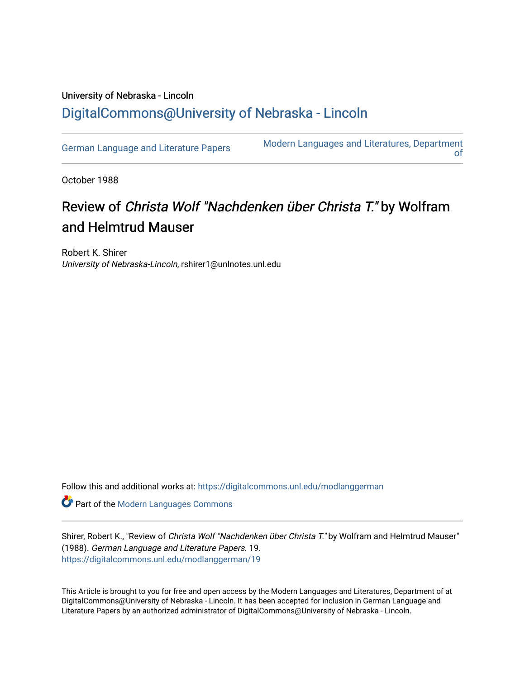## University of Nebraska - Lincoln [DigitalCommons@University of Nebraska - Lincoln](https://digitalcommons.unl.edu/)

[German Language and Literature Papers](https://digitalcommons.unl.edu/modlanggerman) Modern Languages and Literatures, Department [of](https://digitalcommons.unl.edu/modernlanguages) 

October 1988

## Review of Christa Wolf "Nachdenken über Christa T." by Wolfram and Helmtrud Mauser

Robert K. Shirer University of Nebraska-Lincoln, rshirer1@unlnotes.unl.edu

Follow this and additional works at: [https://digitalcommons.unl.edu/modlanggerman](https://digitalcommons.unl.edu/modlanggerman?utm_source=digitalcommons.unl.edu%2Fmodlanggerman%2F19&utm_medium=PDF&utm_campaign=PDFCoverPages) 

Part of the [Modern Languages Commons](http://network.bepress.com/hgg/discipline/1130?utm_source=digitalcommons.unl.edu%2Fmodlanggerman%2F19&utm_medium=PDF&utm_campaign=PDFCoverPages) 

Shirer, Robert K., "Review of Christa Wolf "Nachdenken über Christa T." by Wolfram and Helmtrud Mauser" (1988). German Language and Literature Papers. 19. [https://digitalcommons.unl.edu/modlanggerman/19](https://digitalcommons.unl.edu/modlanggerman/19?utm_source=digitalcommons.unl.edu%2Fmodlanggerman%2F19&utm_medium=PDF&utm_campaign=PDFCoverPages)

This Article is brought to you for free and open access by the Modern Languages and Literatures, Department of at DigitalCommons@University of Nebraska - Lincoln. It has been accepted for inclusion in German Language and Literature Papers by an authorized administrator of DigitalCommons@University of Nebraska - Lincoln.